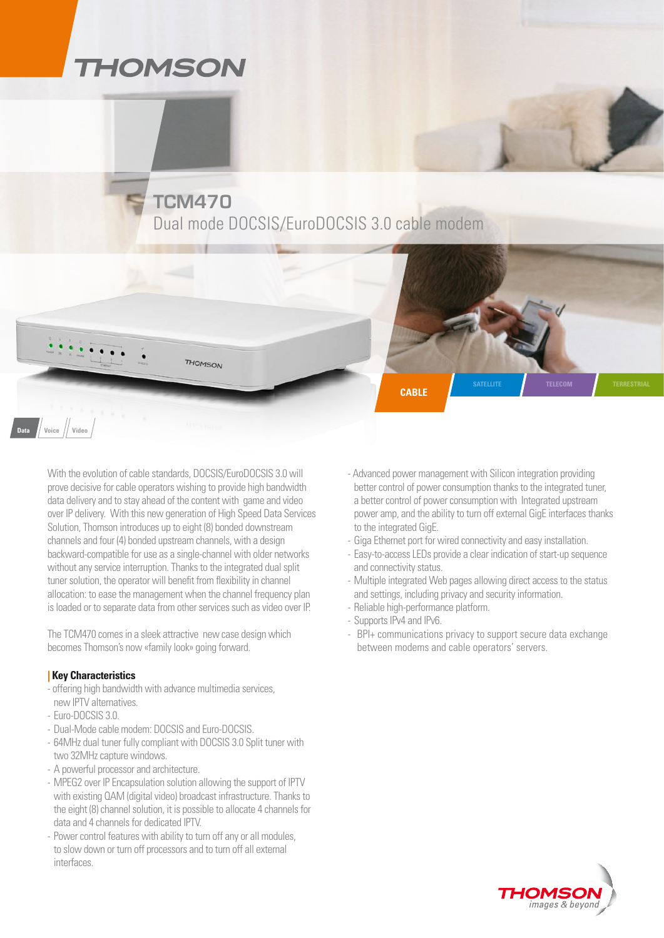## **THOMSON**

**TCM470** Dual mode DOCSIS/EuroDOCSIS 3.0 cable modem



**THOMSON** 

The TCM470 comes in a sleek attractive new case design which becomes Thomson's now «family look» going forward.

### **| Key Characteristics**

- offering high bandwidth with advance multimedia services, new IPTV alternatives.
- Euro-DOCSIS 3.0.

**Data Voice Video**

- Dual-Mode cable modem: DOCSIS and Euro-DOCSIS.
- 64MHz dual tuner fully compliant with DOCSIS 3.0 Split tuner with two 32MHz capture windows.
- A powerful processor and architecture.
- MPEG2 over IP Encapsulation solution allowing the support of IPTV with existing QAM (digital video) broadcast infrastructure. Thanks to the eight (8) channel solution, it is possible to allocate 4 channels for data and 4 channels for dedicated IPTV.
- Power control features with ability to turn off any or all modules, to slow down or turn off processors and to turn off all external interfaces.

- Advanced power management with Silicon integration providing better control of power consumption thanks to the integrated tuner, a better control of power consumption with Integrated upstream power amp, and the ability to turn off external GigE interfaces thanks to the integrated GigE.

**satellite telecom Terrestrial**

- Giga Ethernet port for wired connectivity and easy installation.
- Easy-to-access LEDs provide a clear indication of start-up sequence and connectivity status.
- Multiple integrated Web pages allowing direct access to the status and settings, including privacy and security information.
- Reliable high-performance platform.

**cable**

- Supports IPv4 and IPv6.
- BPI+ communications privacy to support secure data exchange between modems and cable operators' servers.